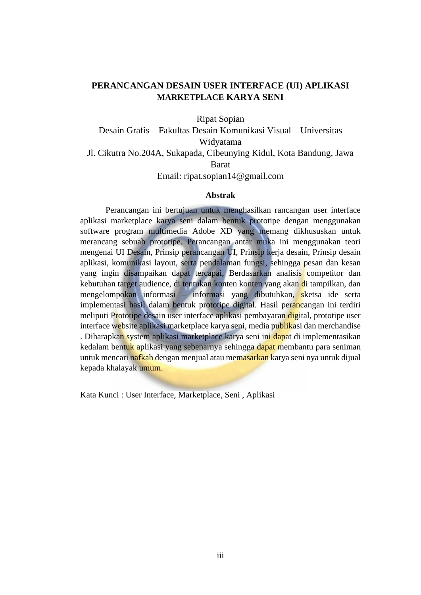## **PERANCANGAN DESAIN USER INTERFACE (UI) APLIKASI MARKETPLACE KARYA SENI**

Ripat Sopian

Desain Grafis – Fakultas Desain Komunikasi Visual – Universitas Widyatama Jl. Cikutra No.204A, Sukapada, Cibeunying Kidul, Kota Bandung, Jawa Barat Email: ripat.sopian14@gmail.com

## **Abstrak**

Perancangan ini bertujuan untuk menghasilkan rancangan user interface aplikasi marketplace karya seni dalam bentuk prototipe dengan menggunakan software program multimedia Adobe XD yang memang dikhususkan untuk merancang sebuah prototipe. Perancangan antar muka ini menggunakan teori mengenai UI Desain, Prinsip perancangan UI, Prinsip kerja desain, Prinsip desain aplikasi, komunikasi layout, serta pendalaman fungsi, sehingga pesan dan kesan yang ingin disampaikan dapat tercapai, Berdasarkan analisis competitor dan kebutuhan target audience, di tentukan konten konten yang akan di tampilkan, dan mengelompokan informasi – informasi yang dibutuhkan, sketsa ide serta implementasi hasil dalam bentuk prototipe digital. Hasil perancangan ini terdiri meliputi Prototipe desain user interface aplikasi pembayaran digital, prototipe user interface website aplikasi marketplace karya seni, media publikasi dan merchandise . Diharapkan system aplikasi marketplace karya seni ini dapat di implementasikan kedalam bentuk aplikasi yang sebenarnya sehingga dapat membantu para seniman untuk mencari nafkah dengan menjual atau memasarkan karya seni nya untuk dijual kepada khalayak umum.

Kata Kunci : User Interface, Marketplace, Seni , Aplikasi